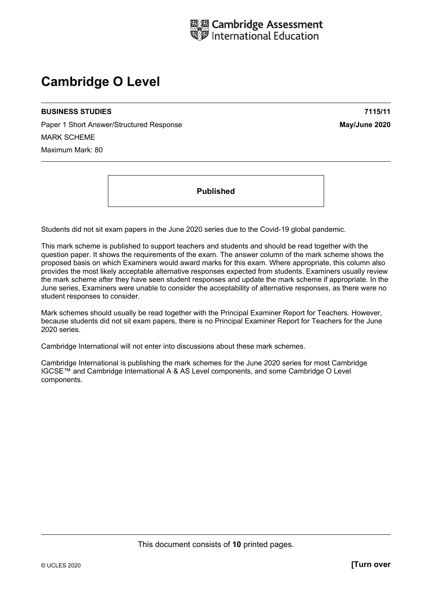

# **Cambridge O Level**

#### **BUSINESS STUDIES 7115/11**

Paper 1 Short Answer/Structured Response **May/June 2020** MARK SCHEME Maximum Mark: 80

**Published** 

Students did not sit exam papers in the June 2020 series due to the Covid-19 global pandemic.

This mark scheme is published to support teachers and students and should be read together with the question paper. It shows the requirements of the exam. The answer column of the mark scheme shows the proposed basis on which Examiners would award marks for this exam. Where appropriate, this column also provides the most likely acceptable alternative responses expected from students. Examiners usually review the mark scheme after they have seen student responses and update the mark scheme if appropriate. In the June series, Examiners were unable to consider the acceptability of alternative responses, as there were no student responses to consider.

Mark schemes should usually be read together with the Principal Examiner Report for Teachers. However, because students did not sit exam papers, there is no Principal Examiner Report for Teachers for the June 2020 series.

Cambridge International will not enter into discussions about these mark schemes.

Cambridge International is publishing the mark schemes for the June 2020 series for most Cambridge IGCSE™ and Cambridge International A & AS Level components, and some Cambridge O Level components.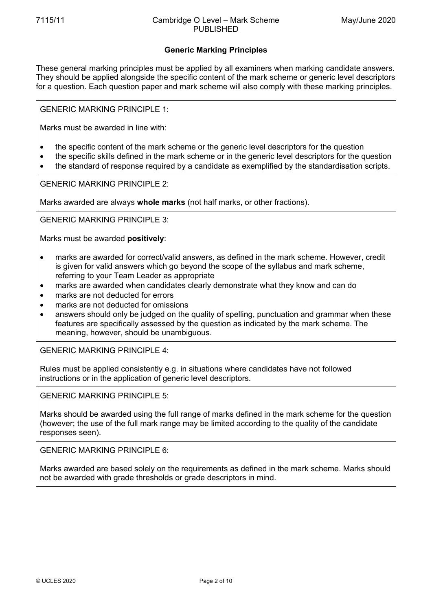## **Generic Marking Principles**

These general marking principles must be applied by all examiners when marking candidate answers. They should be applied alongside the specific content of the mark scheme or generic level descriptors for a question. Each question paper and mark scheme will also comply with these marking principles.

GENERIC MARKING PRINCIPLE 1:

Marks must be awarded in line with:

- the specific content of the mark scheme or the generic level descriptors for the question
- the specific skills defined in the mark scheme or in the generic level descriptors for the question
- the standard of response required by a candidate as exemplified by the standardisation scripts.

GENERIC MARKING PRINCIPLE 2:

Marks awarded are always **whole marks** (not half marks, or other fractions).

GENERIC MARKING PRINCIPLE 3:

Marks must be awarded **positively**:

- marks are awarded for correct/valid answers, as defined in the mark scheme. However, credit is given for valid answers which go beyond the scope of the syllabus and mark scheme, referring to your Team Leader as appropriate
- marks are awarded when candidates clearly demonstrate what they know and can do
- marks are not deducted for errors
- marks are not deducted for omissions
- answers should only be judged on the quality of spelling, punctuation and grammar when these features are specifically assessed by the question as indicated by the mark scheme. The meaning, however, should be unambiguous.

GENERIC MARKING PRINCIPLE 4:

Rules must be applied consistently e.g. in situations where candidates have not followed instructions or in the application of generic level descriptors.

GENERIC MARKING PRINCIPLE 5:

Marks should be awarded using the full range of marks defined in the mark scheme for the question (however; the use of the full mark range may be limited according to the quality of the candidate responses seen).

GENERIC MARKING PRINCIPLE 6:

Marks awarded are based solely on the requirements as defined in the mark scheme. Marks should not be awarded with grade thresholds or grade descriptors in mind.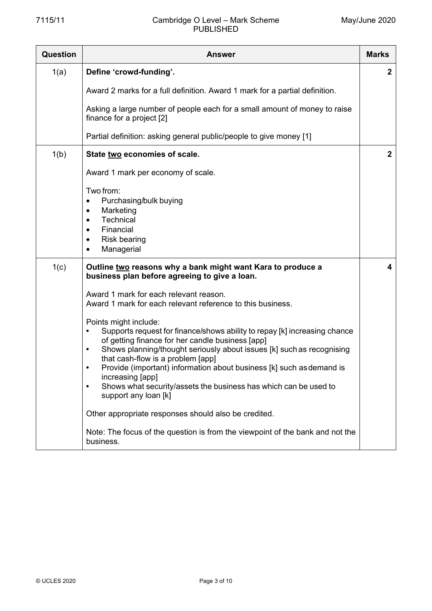### 7115/11 Cambridge O Level – Mark Scheme PUBLISHED

| <b>Question</b> | <b>Answer</b>                                                                                                                                                                                                                                                                                                                                                                                                                                                                                       | <b>Marks</b> |
|-----------------|-----------------------------------------------------------------------------------------------------------------------------------------------------------------------------------------------------------------------------------------------------------------------------------------------------------------------------------------------------------------------------------------------------------------------------------------------------------------------------------------------------|--------------|
| 1(a)            | Define 'crowd-funding'.                                                                                                                                                                                                                                                                                                                                                                                                                                                                             | $\mathbf{2}$ |
|                 | Award 2 marks for a full definition. Award 1 mark for a partial definition.                                                                                                                                                                                                                                                                                                                                                                                                                         |              |
|                 | Asking a large number of people each for a small amount of money to raise<br>finance for a project [2]                                                                                                                                                                                                                                                                                                                                                                                              |              |
|                 | Partial definition: asking general public/people to give money [1]                                                                                                                                                                                                                                                                                                                                                                                                                                  |              |
| 1(b)            | State two economies of scale.                                                                                                                                                                                                                                                                                                                                                                                                                                                                       | $\mathbf{2}$ |
|                 | Award 1 mark per economy of scale.                                                                                                                                                                                                                                                                                                                                                                                                                                                                  |              |
|                 | Two from:<br>Purchasing/bulk buying<br>٠<br>Marketing<br>٠<br>Technical<br>$\bullet$<br>Financial<br>$\bullet$<br><b>Risk bearing</b><br>$\bullet$<br>Managerial<br>$\bullet$                                                                                                                                                                                                                                                                                                                       |              |
| 1(c)            | Outline two reasons why a bank might want Kara to produce a<br>business plan before agreeing to give a loan.                                                                                                                                                                                                                                                                                                                                                                                        | 4            |
|                 | Award 1 mark for each relevant reason.<br>Award 1 mark for each relevant reference to this business.                                                                                                                                                                                                                                                                                                                                                                                                |              |
|                 | Points might include:<br>Supports request for finance/shows ability to repay [k] increasing chance<br>$\bullet$<br>of getting finance for her candle business [app]<br>Shows planning/thought seriously about issues [k] such as recognising<br>$\bullet$<br>that cash-flow is a problem [app]<br>Provide (important) information about business [k] such as demand is<br>increasing [app]<br>Shows what security/assets the business has which can be used to<br>$\bullet$<br>support any loan [k] |              |
|                 | Other appropriate responses should also be credited.                                                                                                                                                                                                                                                                                                                                                                                                                                                |              |
|                 | Note: The focus of the question is from the viewpoint of the bank and not the<br>business.                                                                                                                                                                                                                                                                                                                                                                                                          |              |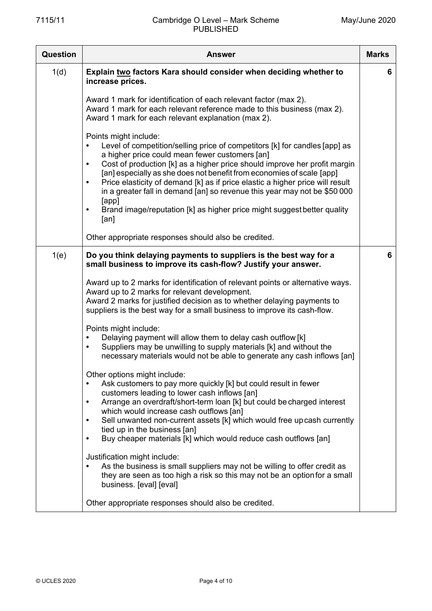| Question | <b>Answer</b>                                                                                                                                                                                                                                                                                                                                                                                                                                                                                                                                                                                   | <b>Marks</b> |
|----------|-------------------------------------------------------------------------------------------------------------------------------------------------------------------------------------------------------------------------------------------------------------------------------------------------------------------------------------------------------------------------------------------------------------------------------------------------------------------------------------------------------------------------------------------------------------------------------------------------|--------------|
| 1(d)     | Explain two factors Kara should consider when deciding whether to<br>increase prices.                                                                                                                                                                                                                                                                                                                                                                                                                                                                                                           | 6            |
|          | Award 1 mark for identification of each relevant factor (max 2).<br>Award 1 mark for each relevant reference made to this business (max 2).<br>Award 1 mark for each relevant explanation (max 2).                                                                                                                                                                                                                                                                                                                                                                                              |              |
|          | Points might include:<br>Level of competition/selling price of competitors [k] for candles [app] as<br>a higher price could mean fewer customers [an]<br>Cost of production [k] as a higher price should improve her profit margin<br>$\bullet$<br>[an] especially as she does not benefit from economies of scale [app]<br>Price elasticity of demand [k] as if price elastic a higher price will result<br>$\bullet$<br>in a greater fall in demand [an] so revenue this year may not be \$50 000<br>[app]<br>Brand image/reputation [k] as higher price might suggest better quality<br>[an] |              |
|          | Other appropriate responses should also be credited.                                                                                                                                                                                                                                                                                                                                                                                                                                                                                                                                            |              |
| 1(e)     | Do you think delaying payments to suppliers is the best way for a<br>small business to improve its cash-flow? Justify your answer.                                                                                                                                                                                                                                                                                                                                                                                                                                                              | 6            |
|          | Award up to 2 marks for identification of relevant points or alternative ways.<br>Award up to 2 marks for relevant development.<br>Award 2 marks for justified decision as to whether delaying payments to<br>suppliers is the best way for a small business to improve its cash-flow.<br>Points might include:                                                                                                                                                                                                                                                                                 |              |
|          | Delaying payment will allow them to delay cash outflow [k]<br>$\bullet$<br>Suppliers may be unwilling to supply materials [k] and without the<br>$\bullet$<br>necessary materials would not be able to generate any cash inflows [an]                                                                                                                                                                                                                                                                                                                                                           |              |
|          | Other options might include:<br>Ask customers to pay more quickly [k] but could result in fewer<br>customers leading to lower cash inflows [an]<br>Arrange an overdraft/short-term loan [k] but could be charged interest<br>$\bullet$<br>which would increase cash outflows [an]<br>Sell unwanted non-current assets [k] which would free upcash currently<br>$\bullet$<br>tied up in the business [an]                                                                                                                                                                                        |              |
|          | Buy cheaper materials [k] which would reduce cash outflows [an]<br>$\bullet$<br>Justification might include:<br>As the business is small suppliers may not be willing to offer credit as<br>they are seen as too high a risk so this may not be an option for a small<br>business. [eval] [eval]                                                                                                                                                                                                                                                                                                |              |
|          | Other appropriate responses should also be credited.                                                                                                                                                                                                                                                                                                                                                                                                                                                                                                                                            |              |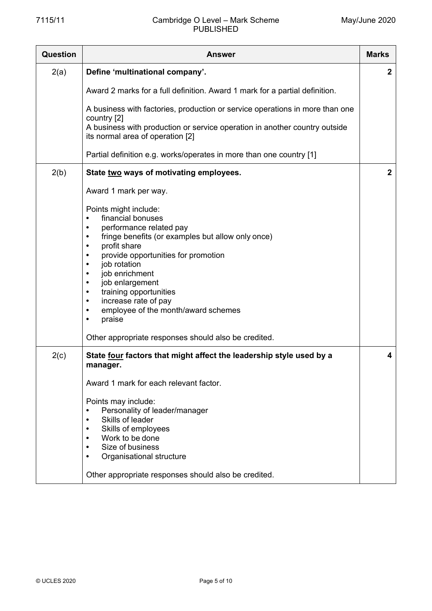### 7115/11 Cambridge O Level – Mark Scheme PUBLISHED

| <b>Question</b> | <b>Answer</b>                                                                                                  | <b>Marks</b> |
|-----------------|----------------------------------------------------------------------------------------------------------------|--------------|
| 2(a)            | Define 'multinational company'.                                                                                | $\mathbf{2}$ |
|                 | Award 2 marks for a full definition. Award 1 mark for a partial definition.                                    |              |
|                 | A business with factories, production or service operations in more than one<br>country [2]                    |              |
|                 | A business with production or service operation in another country outside<br>its normal area of operation [2] |              |
|                 | Partial definition e.g. works/operates in more than one country [1]                                            |              |
| 2(b)            | State two ways of motivating employees.                                                                        | $\mathbf{2}$ |
|                 | Award 1 mark per way.                                                                                          |              |
|                 | Points might include:                                                                                          |              |
|                 | financial bonuses<br>$\bullet$<br>performance related pay<br>$\bullet$                                         |              |
|                 | fringe benefits (or examples but allow only once)<br>$\bullet$<br>profit share<br>$\bullet$                    |              |
|                 | provide opportunities for promotion<br>$\bullet$                                                               |              |
|                 | job rotation<br>$\bullet$<br>job enrichment<br>$\bullet$                                                       |              |
|                 | job enlargement<br>$\bullet$                                                                                   |              |
|                 | training opportunities<br>$\bullet$<br>increase rate of pay<br>$\bullet$                                       |              |
|                 | employee of the month/award schemes<br>$\bullet$                                                               |              |
|                 | praise<br>$\bullet$                                                                                            |              |
|                 | Other appropriate responses should also be credited.                                                           |              |
| 2(c)            | State four factors that might affect the leadership style used by a<br>manager.                                | 4            |
|                 | Award 1 mark for each relevant factor.                                                                         |              |
|                 | Points may include:                                                                                            |              |
|                 | Personality of leader/manager<br>$\bullet$<br>Skills of leader<br>$\bullet$                                    |              |
|                 | Skills of employees                                                                                            |              |
|                 | Work to be done<br>Size of business                                                                            |              |
|                 | Organisational structure                                                                                       |              |
|                 | Other appropriate responses should also be credited.                                                           |              |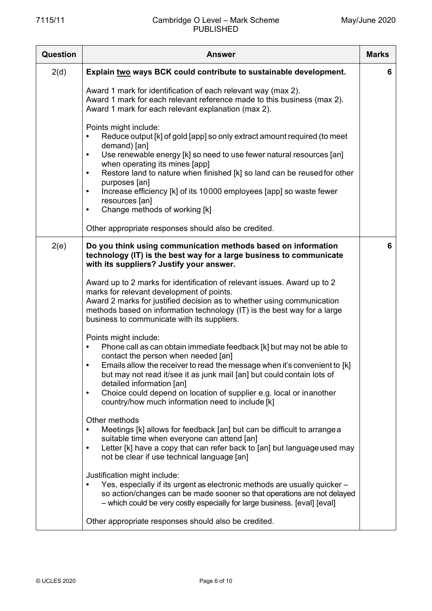| <b>Question</b> | <b>Answer</b>                                                                                                                                                                                                                                                                                                                                                                                                                                                                                                                                                                                                                                                                                                                                                                                                                                                                                                                                                                                                                                                                                                                                                                                                                                                                                                                                                                                                                                                                                                                                                                       | <b>Marks</b> |
|-----------------|-------------------------------------------------------------------------------------------------------------------------------------------------------------------------------------------------------------------------------------------------------------------------------------------------------------------------------------------------------------------------------------------------------------------------------------------------------------------------------------------------------------------------------------------------------------------------------------------------------------------------------------------------------------------------------------------------------------------------------------------------------------------------------------------------------------------------------------------------------------------------------------------------------------------------------------------------------------------------------------------------------------------------------------------------------------------------------------------------------------------------------------------------------------------------------------------------------------------------------------------------------------------------------------------------------------------------------------------------------------------------------------------------------------------------------------------------------------------------------------------------------------------------------------------------------------------------------------|--------------|
| 2(d)            | Explain two ways BCK could contribute to sustainable development.                                                                                                                                                                                                                                                                                                                                                                                                                                                                                                                                                                                                                                                                                                                                                                                                                                                                                                                                                                                                                                                                                                                                                                                                                                                                                                                                                                                                                                                                                                                   | 6            |
|                 | Award 1 mark for identification of each relevant way (max 2).<br>Award 1 mark for each relevant reference made to this business (max 2).<br>Award 1 mark for each relevant explanation (max 2).                                                                                                                                                                                                                                                                                                                                                                                                                                                                                                                                                                                                                                                                                                                                                                                                                                                                                                                                                                                                                                                                                                                                                                                                                                                                                                                                                                                     |              |
|                 | Points might include:<br>Reduce output [k] of gold [app] so only extract amount required (to meet<br>$\bullet$<br>demand) [an]<br>Use renewable energy [k] so need to use fewer natural resources [an]<br>$\bullet$<br>when operating its mines [app]<br>Restore land to nature when finished [k] so land can be reused for other<br>$\bullet$<br>purposes [an]<br>Increase efficiency [k] of its 10000 employees [app] so waste fewer<br>$\bullet$<br>resources [an]<br>Change methods of working [k]<br>$\bullet$                                                                                                                                                                                                                                                                                                                                                                                                                                                                                                                                                                                                                                                                                                                                                                                                                                                                                                                                                                                                                                                                 |              |
|                 | Other appropriate responses should also be credited.                                                                                                                                                                                                                                                                                                                                                                                                                                                                                                                                                                                                                                                                                                                                                                                                                                                                                                                                                                                                                                                                                                                                                                                                                                                                                                                                                                                                                                                                                                                                |              |
| 2(e)            | Do you think using communication methods based on information<br>technology (IT) is the best way for a large business to communicate<br>with its suppliers? Justify your answer.<br>Award up to 2 marks for identification of relevant issues. Award up to 2<br>marks for relevant development of points.<br>Award 2 marks for justified decision as to whether using communication<br>methods based on information technology (IT) is the best way for a large<br>business to communicate with its suppliers.<br>Points might include:<br>Phone call as can obtain immediate feedback [k] but may not be able to<br>$\bullet$<br>contact the person when needed [an]<br>Emails allow the receiver to read the message when it's convenient to [k]<br>$\bullet$<br>but may not read it/see it as junk mail [an] but could contain lots of<br>detailed information [an]<br>Choice could depend on location of supplier e.g. local or inanother<br>$\bullet$<br>country/how much information need to include [k]<br>Other methods<br>Meetings [k] allows for feedback [an] but can be difficult to arrange a<br>suitable time when everyone can attend [an]<br>Letter [k] have a copy that can refer back to [an] but language used may<br>$\bullet$<br>not be clear if use technical language [an]<br>Justification might include:<br>Yes, especially if its urgent as electronic methods are usually quicker -<br>$\bullet$<br>so action/changes can be made sooner so that operations are not delayed<br>- which could be very costly especially for large business. [eval] [eval] | 6            |
|                 | Other appropriate responses should also be credited.                                                                                                                                                                                                                                                                                                                                                                                                                                                                                                                                                                                                                                                                                                                                                                                                                                                                                                                                                                                                                                                                                                                                                                                                                                                                                                                                                                                                                                                                                                                                |              |
|                 |                                                                                                                                                                                                                                                                                                                                                                                                                                                                                                                                                                                                                                                                                                                                                                                                                                                                                                                                                                                                                                                                                                                                                                                                                                                                                                                                                                                                                                                                                                                                                                                     |              |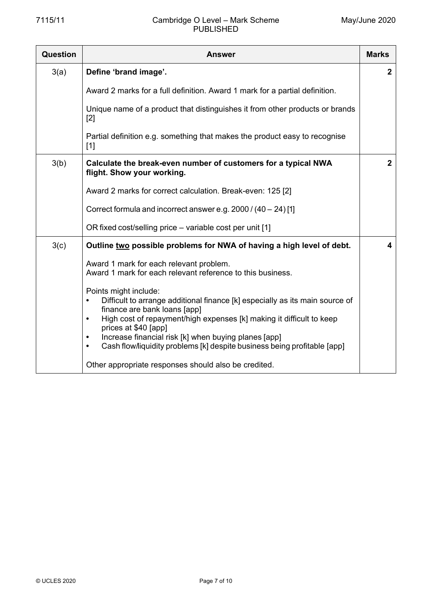### 7115/11 Cambridge O Level – Mark Scheme PUBLISHED

| Question | Answer                                                                                                                                                                                                                                                                                                                                                                                                                        | <b>Marks</b>   |
|----------|-------------------------------------------------------------------------------------------------------------------------------------------------------------------------------------------------------------------------------------------------------------------------------------------------------------------------------------------------------------------------------------------------------------------------------|----------------|
| 3(a)     | Define 'brand image'.                                                                                                                                                                                                                                                                                                                                                                                                         | $\mathbf{2}$   |
|          | Award 2 marks for a full definition. Award 1 mark for a partial definition.                                                                                                                                                                                                                                                                                                                                                   |                |
|          | Unique name of a product that distinguishes it from other products or brands<br>$[2]$                                                                                                                                                                                                                                                                                                                                         |                |
|          | Partial definition e.g. something that makes the product easy to recognise<br>$[1]$                                                                                                                                                                                                                                                                                                                                           |                |
| 3(b)     | Calculate the break-even number of customers for a typical NWA<br>flight. Show your working.                                                                                                                                                                                                                                                                                                                                  | 2 <sup>1</sup> |
|          | Award 2 marks for correct calculation. Break-even: 125 [2]                                                                                                                                                                                                                                                                                                                                                                    |                |
|          | Correct formula and incorrect answer e.g. 2000 / (40 - 24) [1]                                                                                                                                                                                                                                                                                                                                                                |                |
|          | OR fixed cost/selling price – variable cost per unit [1]                                                                                                                                                                                                                                                                                                                                                                      |                |
| 3(c)     | Outline two possible problems for NWA of having a high level of debt.                                                                                                                                                                                                                                                                                                                                                         | 4              |
|          | Award 1 mark for each relevant problem.<br>Award 1 mark for each relevant reference to this business.                                                                                                                                                                                                                                                                                                                         |                |
|          | Points might include:<br>Difficult to arrange additional finance [k] especially as its main source of<br>$\bullet$<br>finance are bank loans [app]<br>High cost of repayment/high expenses [k] making it difficult to keep<br>$\bullet$<br>prices at \$40 [app]<br>Increase financial risk [k] when buying planes [app]<br>$\bullet$<br>Cash flow/liquidity problems [k] despite business being profitable [app]<br>$\bullet$ |                |
|          | Other appropriate responses should also be credited.                                                                                                                                                                                                                                                                                                                                                                          |                |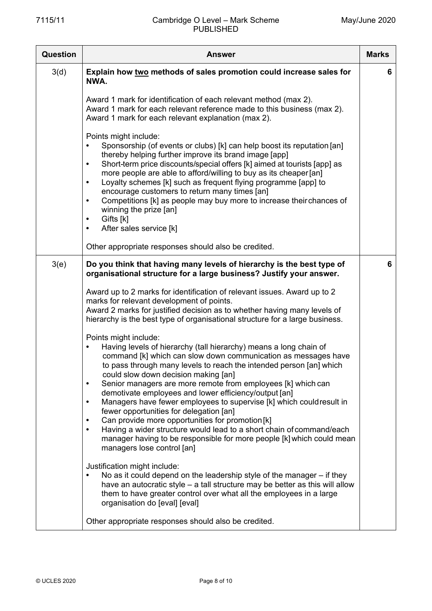| <b>Question</b> | <b>Answer</b>                                                                                                                                                                                                                                                                                                                                                                                                                                                                                                                                                                                                                                                                                                                                                                         | <b>Marks</b> |
|-----------------|---------------------------------------------------------------------------------------------------------------------------------------------------------------------------------------------------------------------------------------------------------------------------------------------------------------------------------------------------------------------------------------------------------------------------------------------------------------------------------------------------------------------------------------------------------------------------------------------------------------------------------------------------------------------------------------------------------------------------------------------------------------------------------------|--------------|
| 3(d)            | Explain how two methods of sales promotion could increase sales for<br>NWA.                                                                                                                                                                                                                                                                                                                                                                                                                                                                                                                                                                                                                                                                                                           | 6            |
|                 | Award 1 mark for identification of each relevant method (max 2).<br>Award 1 mark for each relevant reference made to this business (max 2).<br>Award 1 mark for each relevant explanation (max 2).                                                                                                                                                                                                                                                                                                                                                                                                                                                                                                                                                                                    |              |
|                 | Points might include:<br>Sponsorship (of events or clubs) [k] can help boost its reputation [an]<br>$\bullet$<br>thereby helping further improve its brand image [app]<br>Short-term price discounts/special offers [k] aimed at tourists [app] as<br>$\bullet$<br>more people are able to afford/willing to buy as its cheaper [an]<br>Loyalty schemes [k] such as frequent flying programme [app] to<br>$\bullet$<br>encourage customers to return many times [an]<br>Competitions [k] as people may buy more to increase their chances of<br>$\bullet$<br>winning the prize [an]<br>Gifts [k]<br>$\bullet$<br>After sales service [k]<br>$\bullet$                                                                                                                                 |              |
|                 | Other appropriate responses should also be credited.                                                                                                                                                                                                                                                                                                                                                                                                                                                                                                                                                                                                                                                                                                                                  |              |
| 3(e)            | Do you think that having many levels of hierarchy is the best type of<br>organisational structure for a large business? Justify your answer.                                                                                                                                                                                                                                                                                                                                                                                                                                                                                                                                                                                                                                          | 6            |
|                 | Award up to 2 marks for identification of relevant issues. Award up to 2<br>marks for relevant development of points.<br>Award 2 marks for justified decision as to whether having many levels of<br>hierarchy is the best type of organisational structure for a large business.<br>Points might include:                                                                                                                                                                                                                                                                                                                                                                                                                                                                            |              |
|                 | Having levels of hierarchy (tall hierarchy) means a long chain of<br>command [k] which can slow down communication as messages have<br>to pass through many levels to reach the intended person [an] which<br>could slow down decision making [an]<br>Senior managers are more remote from employees [k] which can<br>$\bullet$<br>demotivate employees and lower efficiency/output [an]<br>Managers have fewer employees to supervise [k] which could result in<br>$\bullet$<br>fewer opportunities for delegation [an]<br>Can provide more opportunities for promotion [k]<br>$\bullet$<br>Having a wider structure would lead to a short chain of command/each<br>$\bullet$<br>manager having to be responsible for more people [k] which could mean<br>managers lose control [an] |              |
|                 | Justification might include:<br>No as it could depend on the leadership style of the manager – if they<br>have an autocratic style – a tall structure may be better as this will allow<br>them to have greater control over what all the employees in a large<br>organisation do [eval] [eval]                                                                                                                                                                                                                                                                                                                                                                                                                                                                                        |              |
|                 | Other appropriate responses should also be credited.                                                                                                                                                                                                                                                                                                                                                                                                                                                                                                                                                                                                                                                                                                                                  |              |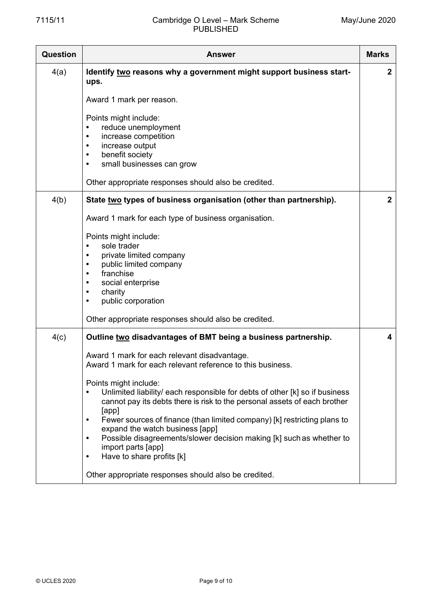| Question | <b>Answer</b>                                                                                                                                                                                                                                                                                                                                                                                                                                                                                                                                                                                                                                               | <b>Marks</b>            |
|----------|-------------------------------------------------------------------------------------------------------------------------------------------------------------------------------------------------------------------------------------------------------------------------------------------------------------------------------------------------------------------------------------------------------------------------------------------------------------------------------------------------------------------------------------------------------------------------------------------------------------------------------------------------------------|-------------------------|
| 4(a)     | Identify two reasons why a government might support business start-<br>ups.<br>Award 1 mark per reason.                                                                                                                                                                                                                                                                                                                                                                                                                                                                                                                                                     | $\boldsymbol{2}$        |
|          | Points might include:<br>reduce unemployment<br>increase competition<br>$\bullet$<br>increase output<br>$\bullet$<br>benefit society<br>$\bullet$<br>small businesses can grow<br>$\bullet$                                                                                                                                                                                                                                                                                                                                                                                                                                                                 |                         |
|          | Other appropriate responses should also be credited.                                                                                                                                                                                                                                                                                                                                                                                                                                                                                                                                                                                                        |                         |
| 4(b)     | State two types of business organisation (other than partnership).                                                                                                                                                                                                                                                                                                                                                                                                                                                                                                                                                                                          | $\overline{2}$          |
|          | Award 1 mark for each type of business organisation.                                                                                                                                                                                                                                                                                                                                                                                                                                                                                                                                                                                                        |                         |
|          | Points might include:<br>sole trader<br>$\bullet$<br>private limited company<br>$\bullet$<br>public limited company<br>$\bullet$<br>franchise<br>$\bullet$<br>social enterprise<br>charity<br>$\bullet$<br>public corporation                                                                                                                                                                                                                                                                                                                                                                                                                               |                         |
|          | Other appropriate responses should also be credited.                                                                                                                                                                                                                                                                                                                                                                                                                                                                                                                                                                                                        |                         |
| 4(c)     | Outline two disadvantages of BMT being a business partnership.<br>Award 1 mark for each relevant disadvantage.<br>Award 1 mark for each relevant reference to this business.<br>Points might include:<br>Unlimited liability/ each responsible for debts of other [k] so if business<br>cannot pay its debts there is risk to the personal assets of each brother<br>[app]<br>Fewer sources of finance (than limited company) [k] restricting plans to<br>$\bullet$<br>expand the watch business [app]<br>Possible disagreements/slower decision making [k] such as whether to<br>$\bullet$<br>import parts [app]<br>Have to share profits [k]<br>$\bullet$ | $\overline{\mathbf{4}}$ |
|          | Other appropriate responses should also be credited.                                                                                                                                                                                                                                                                                                                                                                                                                                                                                                                                                                                                        |                         |